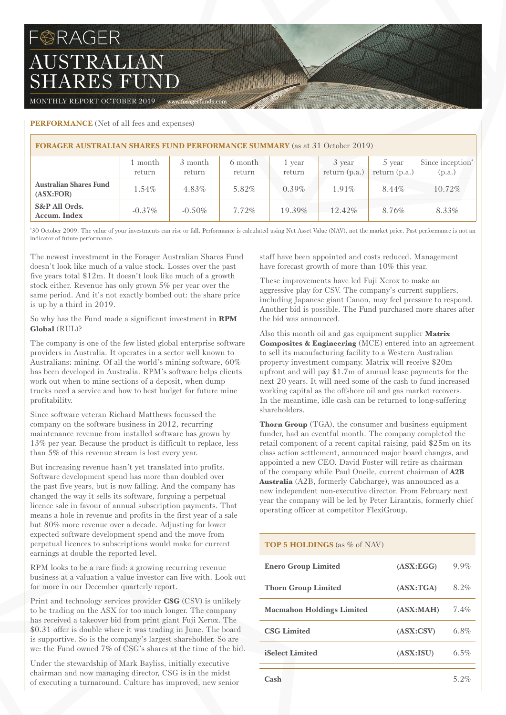# F@RAGER AUSTRALIAN SHARES FUND

MONTHLY REPORT OCTOBER 2019 www.foragerfunds.com

## **PERFORMANCE** (Net of all fees and expenses)

| <b>FORAGER AUSTRALIAN SHARES FUND PERFORMANCE SUMMARY</b> (as at 31 October 2019) |                   |                   |                   |                  |                           |                           |                            |  |
|-----------------------------------------------------------------------------------|-------------------|-------------------|-------------------|------------------|---------------------------|---------------------------|----------------------------|--|
|                                                                                   | 1 month<br>return | 3 month<br>return | 6 month<br>return | 1 year<br>return | 3 year<br>return $(p.a.)$ | 5 year<br>return $(p.a.)$ | Since inception*<br>(p.a.) |  |
| <b>Australian Shares Fund</b><br>(ASK:FOR)                                        | 1.54%             | 4.83%             | 5.82%             | $0.39\%$         | $1.91\%$                  | 8.44%                     | 10.72%                     |  |
| S&P All Ords.<br>Accum. Index                                                     | $-0.37\%$         | $-0.50\%$         | $7.72\%$          | 19.39%           | 12.42%                    | 8.76%                     | 8.33%                      |  |

THE REAL PROPERTY

\* 30 October 2009. The value of your investments can rise or fall. Performance is calculated using Net Asset Value (NAV), not the market price. Past performance is not an indicator of future performance.

The newest investment in the Forager Australian Shares Fund doesn't look like much of a value stock. Losses over the past five years total \$12m. It doesn't look like much of a growth stock either. Revenue has only grown 5% per year over the same period. And it's not exactly bombed out: the share price is up by a third in 2019.

So why has the Fund made a significant investment in **RPM Global** (RUL)?

The company is one of the few listed global enterprise software providers in Australia. It operates in a sector well known to Australians: mining. Of all the world's mining software, 60% has been developed in Australia. RPM's software helps clients work out when to mine sections of a deposit, when dump trucks need a service and how to best budget for future mine profitability.

Since software veteran Richard Matthews focussed the company on the software business in 2012, recurring maintenance revenue from installed software has grown by 13% per year. Because the product is difficult to replace, less than 5% of this revenue stream is lost every year.

But increasing revenue hasn't yet translated into profits. Software development spend has more than doubled over the past five years, but is now falling. And the company has changed the way it sells its software, forgoing a perpetual licence sale in favour of annual subscription payments. That means a hole in revenue and profits in the first year of a sale but 80% more revenue over a decade. Adjusting for lower expected software development spend and the move from perpetual licences to subscriptions would make for current earnings at double the reported level.

RPM looks to be a rare find: a growing recurring revenue business at a valuation a value investor can live with. Look out for more in our December quarterly report.

Print and technology services provider **CSG** (CSV) is unlikely to be trading on the ASX for too much longer. The company has received a takeover bid from print giant Fuji Xerox. The \$0.31 offer is double where it was trading in June. The board is supportive. So is the company's largest shareholder. So are we: the Fund owned 7% of CSG's shares at the time of the bid.

Under the stewardship of Mark Bayliss, initially executive chairman and now managing director, CSG is in the midst of executing a turnaround. Culture has improved, new senior staff have been appointed and costs reduced. Management have forecast growth of more than 10% this year.

These improvements have led Fuji Xerox to make an aggressive play for CSV. The company's current suppliers, including Japanese giant Canon, may feel pressure to respond. Another bid is possible. The Fund purchased more shares after the bid was announced.

Also this month oil and gas equipment supplier **Matrix Composites & Engineering** (MCE) entered into an agreement to sell its manufacturing facility to a Western Australian property investment company. Matrix will receive \$20m upfront and will pay \$1.7m of annual lease payments for the next 20 years. It will need some of the cash to fund increased working capital as the offshore oil and gas market recovers. In the meantime, idle cash can be returned to long-suffering shareholders.

**Thorn Group** (TGA), the consumer and business equipment funder, had an eventful month. The company completed the retail component of a recent capital raising, paid \$25m on its class action settlement, announced major board changes, and appointed a new CEO. David Foster will retire as chairman of the company while Paul Oneile, current chairman of **A2B Australia** (A2B, formerly Cabcharge), was announced as a new independent non-executive director. From February next year the company will be led by Peter Lirantzis, formerly chief operating officer at competitor FlexiGroup.

## **TOP 5 HOLDINGS** (as % of NAV)

| <b>Enero Group Limited</b>       | (ASK:EGG)  | $9.9\%$ |
|----------------------------------|------------|---------|
| <b>Thorn Group Limited</b>       | (ASK: TGA) | 8.2%    |
| <b>Macmahon Holdings Limited</b> | (ASK:MAH)  | $7.4\%$ |
| <b>CSG Limited</b>               | (ASK: CSV) | 6.8%    |
| <b>iSelect Limited</b>           | (ASK:ISU)  | 6.5%    |
| Cash                             |            | 5 2%    |